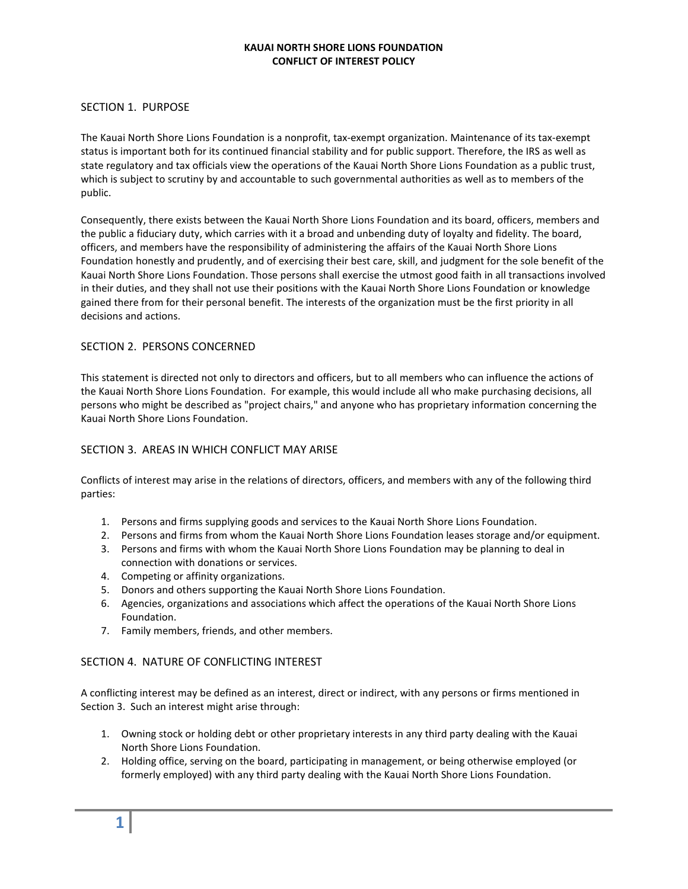#### KAUAI NORTH SHORE LIONS FOUNDATION CONFLICT OF INTEREST POLICY

## SECTION 1. PURPOSE

The Kauai North Shore Lions Foundation is a nonprofit, tax-exempt organization. Maintenance of its tax-exempt status is important both for its continued financial stability and for public support. Therefore, the IRS as well as state regulatory and tax officials view the operations of the Kauai North Shore Lions Foundation as a public trust, which is subject to scrutiny by and accountable to such governmental authorities as well as to members of the public.

Consequently, there exists between the Kauai North Shore Lions Foundation and its board, officers, members and the public a fiduciary duty, which carries with it a broad and unbending duty of loyalty and fidelity. The board, officers, and members have the responsibility of administering the affairs of the Kauai North Shore Lions Foundation honestly and prudently, and of exercising their best care, skill, and judgment for the sole benefit of the Kauai North Shore Lions Foundation. Those persons shall exercise the utmost good faith in all transactions involved in their duties, and they shall not use their positions with the Kauai North Shore Lions Foundation or knowledge gained there from for their personal benefit. The interests of the organization must be the first priority in all decisions and actions.

### SECTION 2. PERSONS CONCERNED

This statement is directed not only to directors and officers, but to all members who can influence the actions of the Kauai North Shore Lions Foundation. For example, this would include all who make purchasing decisions, all persons who might be described as "project chairs," and anyone who has proprietary information concerning the Kauai North Shore Lions Foundation.

## SECTION 3. AREAS IN WHICH CONFLICT MAY ARISE

Conflicts of interest may arise in the relations of directors, officers, and members with any of the following third parties:

- 1. Persons and firms supplying goods and services to the Kauai North Shore Lions Foundation.
- 2. Persons and firms from whom the Kauai North Shore Lions Foundation leases storage and/or equipment.
- 3. Persons and firms with whom the Kauai North Shore Lions Foundation may be planning to deal in connection with donations or services.
- 4. Competing or affinity organizations.
- 5. Donors and others supporting the Kauai North Shore Lions Foundation.
- 6. Agencies, organizations and associations which affect the operations of the Kauai North Shore Lions Foundation.
- 7. Family members, friends, and other members.

#### SECTION 4. NATURE OF CONFLICTING INTEREST

A conflicting interest may be defined as an interest, direct or indirect, with any persons or firms mentioned in Section 3. Such an interest might arise through:

- 1. Owning stock or holding debt or other proprietary interests in any third party dealing with the Kauai North Shore Lions Foundation.
- 2. Holding office, serving on the board, participating in management, or being otherwise employed (or formerly employed) with any third party dealing with the Kauai North Shore Lions Foundation.